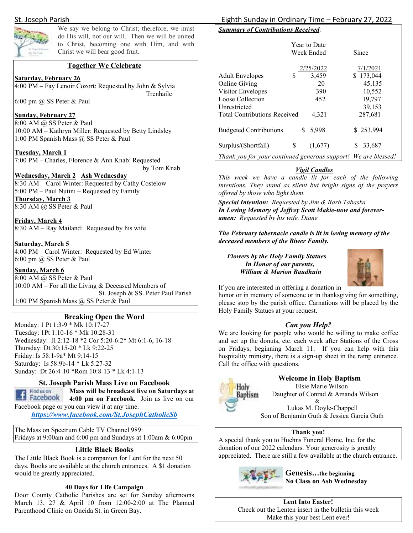

We say we belong to Christ; therefore, we must do His will, not our will. Then we will be united to Christ, becoming one with Him, and with Christ we will bear good fruit.

### **Together We Celebrate**

**Saturday, February 26** 

4:00 PM – Fay Lenoir Cozort: Requested by John & Sylvia Trenhaile

6:00 pm @ SS Peter & Paul

### **Sunday, February 27**

8:00 AM @ SS Peter & Paul 10:00 AM – Kathryn Miller: Requested by Betty Lindsley 1:00 PM Spanish Mass @ SS Peter & Paul

**Tuesday, March 1**  7:00 PM – Charles, Florence & Ann Knab: Requested

by Tom Knab

### **Wednesday, March 2 Ash Wednesday**

8:30 AM – Carol Winter: Requested by Cathy Costelow 5:00 PM – Paul Nutini – Requested by Family **Thursday, March 3**  8:30 AM @ SS Peter & Paul

**Friday, March 4**  8:30 AM – Ray Mailand: Requested by his wife

### **Saturday, March 5**

4:00 PM – Carol Winter: Requested by Ed Winter 6:00 pm @ SS Peter & Paul

### **Sunday, March 6**

8:00 AM @ SS Peter & Paul 10:00 AM – For all the Living & Deceased Members of St. Joseph & SS. Peter Paul Parish 1:00 PM Spanish Mass @ SS Peter & Paul

### **Breaking Open the Word**

Monday: 1 Pt 1:3-9 \* Mk 10:17-27 Tuesday: 1Pt 1:10-16 \* Mk 10:28-31 Wednesday: Jl 2:12-18 \*2 Cor 5:20-6:2\* Mt 6:1-6, 16-18 Thursday: Dt 30:15-20 \* Lk 9:22-25 Friday: Is 58:1-9a\* Mt 9:14-15 Saturday: Is 58:9b-14 \* Lk 5:27-32 Sunday: Dt 26:4-10 \*Rom 10:8-13 \* Lk 4:1-13

### **St. Joseph Parish Mass Live on Facebook**

Find us on **Mass will be broadcast live on Saturdays at 1 Facebook** 4:00 pm on Facebook. Join us live on our Facebook page or you can view it at any time.

*https://www.facebook.com/St.JosephCatholicSb* 

The Mass on Spectrum Cable TV Channel 989: Fridays at 9:00am and 6:00 pm and Sundays at 1:00am & 6:00pm

### **Little Black Books**

The Little Black Book is a companion for Lent for the next 50 days. Books are available at the church entrances. A \$1 donation would be greatly appreciated.

### **40 Days for Life Campaign**

Door County Catholic Parishes are set for Sunday afternoons March 13, 27 & April 10 from 12:00-2:00 at The Planned Parenthood Clinic on Oneida St. in Green Bay.

### St. Joseph Parish Eighth Sunday in Ordinary Time – February 27, 2022

### *Summary of Contributions Received:*

|                                                                |    | <b>Year to Date</b><br>Week Ended | Since     |
|----------------------------------------------------------------|----|-----------------------------------|-----------|
|                                                                |    | 2/25/2022                         | 7/1/2021  |
| <b>Adult Envelopes</b>                                         | S  | 3,459                             | \$173,044 |
| <b>Online Giving</b>                                           |    | 20                                | 45,135    |
| Visitor Envelopes                                              |    | 390                               | 10,552    |
| Loose Collection                                               |    | 452                               | 19,797    |
| Unrestricted                                                   |    |                                   | 39,153    |
| <b>Total Contributions Received</b>                            |    | 4,321                             | 287,681   |
| <b>Budgeted Contributions</b>                                  |    | 5,998                             | \$253,994 |
| Surplus/(Shortfall)                                            | \$ | (1,677)                           | 33,687    |
| Thank you for your continued generous support! We are blessed! |    |                                   |           |

### *Vigil Candles*

*This week we have a candle lit for each of the following intentions. They stand as silent but bright signs of the prayers offered by those who light them.* 

*Special Intention: Requested by Jim & Barb Tabaska In Loving Memory of Jeffrey Scott Makie-now and foreveramen: Requested by his wife, Diane* 

*The February tabernacle candle is lit in loving memory of the deceased members of the Biwer Family.* 

### *Flowers by the Holy Family Statues In Honor of our parents, William & Marion Baudhuin*



If you are interested in offering a donation in

honor or in memory of someone or in thanksgiving for something, please stop by the parish office. Carnations will be placed by the Holy Family Statues at your request.

### *Can you Help?*

We are looking for people who would be willing to make coffee and set up the donuts, etc. each week after Stations of the Cross on Fridays, beginning March 11. If you can help with this hospitality ministry, there is a sign-up sheet in the ramp entrance. Call the office with questions.



**Welcome in Holy Baptism** 

 Elsie Marie Wilson Daughter of Conrad & Amanda Wilson &

 Lukas M. Doyle-Chappell Son of Benjamin Guth & Jessica Garcia Guth

### **Thank you!**

A special thank you to Huehns Funeral Home, Inc. for the donation of our 2022 calendars. Your generosity is greatly appreciated. There are still a few available at the church entrance.



**Genesis…the beginning No Class on Ash Wednesday** 

**Lent Into Easter!**  Check out the Lenten insert in the bulletin this week Make this your best Lent ever!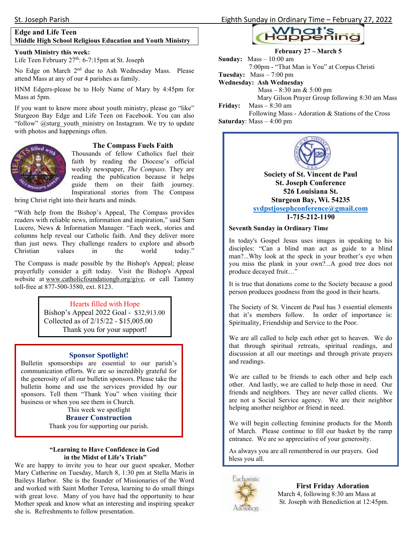### **Youth Ministry this week:**

Life Teen February 27<sup>th</sup>: 6-7:15pm at St. Joseph

No Edge on March 2<sup>nd</sup> due to Ash Wednesday Mass. Please attend Mass at any of our 4 parishes as family.

HNM Edgers-please be to Holy Name of Mary by 4:45pm for Mass at 5pm.

If you want to know more about youth ministry, please go "like" Sturgeon Bay Edge and Life Teen on Facebook. You can also "follow" @sturg\_youth\_ministry on Instagram. We try to update with photos and happenings often.



### **The Compass Fuels Faith**

Thousands of fellow Catholics fuel their faith by reading the Diocese's official weekly newspaper, *The Compass*. They are reading the publication because it helps guide them on their faith journey. Inspirational stories from The Compass

bring Christ right into their hearts and minds.

"With help from the Bishop's Appeal, The Compass provides readers with reliable news, information and inspiration," said Sam Lucero, News & Information Manager. "Each week, stories and columns help reveal our Catholic faith. And they deliver more than just news. They challenge readers to explore and absorb Christian values in the world today."

The Compass is made possible by the Bishop's Appeal; please prayerfully consider a gift today. Visit the Bishop's Appeal website at www.catholicfoundationgb.org/give, or call Tammy toll-free at 877-500-3580, ext. 8123.

### Hearts filled with Hope

Bishop's Appeal 2022 Goal - \$32,913.00 Collected as of 2/15/22 - \$15,005.00 Thank you for your support!

### **Sponsor Spotlight!**

 business or when you see them in Church. Bulletin sponsorships are essential to our parish's communication efforts. We are so incredibly grateful for the generosity of all our bulletin sponsors. Please take the bulletin home and use the services provided by our sponsors. Tell them "Thank You" when visiting their This week we spotlight

### **Brauer Construction**

Thank you for supporting our parish.

### **"Learning to Have Confidence in God in the Midst of Life's Trials"**

We are happy to invite you to hear our guest speaker, Mother Mary Catherine on Tuesday, March 8, 1:30 pm at Stella Maris in Baileys Harbor. She is the founder of Missionaries of the Word and worked with Saint Mother Teresa, learning to do small things with great love. Many of you have had the opportunity to hear Mother speak and know what an interesting and inspiring speaker she is. Refreshments to follow presentation.





### **February 27 – March 5**

**Sunday:** Mass – 10:00 am 7:00pm - "That Man is You" at Corpus Christi **Tuesday:** Mass – 7:00 pm

**Wednesday: Ash Wednesday**

Mass – 8:30 am & 5:00 pm

Mary Gilson Prayer Group following 8:30 am Mass

**Friday:** Mass – 8:30 am

 Following Mass - Adoration & Stations of the Cross **Saturday**: Mass – 4:00 pm



### **526 Louisiana St. Sturgeon Bay, Wi. 54235 svdpstjosephconference@gmail.com 1-715-212-1190**

### **Seventh Sunday in Ordinary Time**

In today's Gospel Jesus uses images in speaking to his disciples: "Can a blind man act as guide to a blind man?...Why look at the speck in your brother's eye when you miss the plank in your own?...A good tree does not produce decayed fruit…"

It is true that donations come to the Society because a good person produces goodness from the good in their hearts.

The Society of St. Vincent de Paul has 3 essential elements that it's members follow. In order of importance is: Spirituality, Friendship and Service to the Poor.

We are all called to help each other get to heaven. We do that through spiritual retreats, spiritual readings, and discussion at all our meetings and through private prayers and readings.

We are called to be friends to each other and help each other. And lastly, we are called to help those in need. Our friends and neighbors. They are never called clients. We are not a Social Service agency. We are their neighbor helping another neighbor or friend in need.

We will begin collecting feminine products for the Month of March. Please continue to fill our basket by the ramp entrance. We are so appreciative of your generosity.

As always you are all remembered in our prayers. God bless you all.



 **First Friday Adoration**  March 4, following 8:30 am Mass at St. Joseph with Benediction at 12:45pm.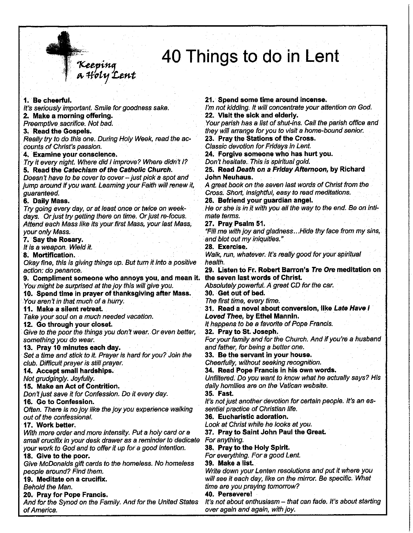## 40 Things to do in Lent

1. Be cheerful. I'm not kidding. It will concentrate your attention on God. It's seriously important. Smile for goodness sake. 2. Make a morning offering. Preemptive sacrifice. Not bad. 3. Read the Gospels. Really try to do this one. During Holy Week, read the accounts of Christ's passion. Classic devotion for Fridays in Lent. 4. Examine your conscience. Try it every night. Where did I improve? Where didn't I? 5. Read the Catechism of the Catholic Church. **John Neuhaus.** Doesn't have to be cover to cover - just pick a spot and jump around if you want. Learning your Faith will renew it, quaranteed. 6. Daily Mass. Try going every day, or at least once or twice on weekmate terms. days. Or just try getting there on time. Or just re-focus. 27. Pray Psalm 51. Attend each Mass like its your first Mass, your last Mass, your only Mass. 7. Say the Rosary. It is a weapon. Wield it. 28. Exercise. 8. Mortification. Okay fine, this is giving things up. But turn it into a positive health. action: do penance. 9. Compliment someone who annoys you, and mean it. You might be surprised at the joy this will give you. 30. Get out of bed. 10. Spend time in prayer of thanksgiving after Mass. The first time, every time. You aren't in that much of a hurry. 11. Make a silent retreat. Take your soul on a much needed vacation. 12. Go through your closet. Give to the poor the things you don't wear. Or even better, something you do wear. 13. Pray 10 minutes each day. Set a time and stick to it. Prayer is hard for you? Join the club. Difficult prayer is still prayer. 14. Accept small hardships. Not arudainaly. Joyfully. 15. Make an Act of Contrition. Don't just save it for Confession. Do it every day. 35. Fast. 16. Go to Confession. Often. There is no joy like the joy you experience walking out of the confessional. 17. Work better. With more order and more intensity. Put a holy card or a For anything. small crucifix in your desk drawer as a reminder to dedicate 38. Pray to the Holy Spirit. your work to God and to offer it up for a good intention. 18. Give to the poor. Give McDonalds gift cards to the homeless. No homeless 39. Make a list. people around? Find them. 19. Meditate on a crucifix. Behold the Man. 20. Pray for Pope Francis. 40. Persevere! And for the Synod on the Family. And for the United States of America.

.<br>Keeping<br>a Holy Lent

21. Spend some time around incense.

22. Visit the sick and elderly.

Your parish has a list of shut-ins. Call the parish office and they will arrange for you to visit a home-bound senior.

23. Pray the Stations of the Cross.

24. Forgive someone who has hurt you.

Don't hesitate. This is spiritual gold.

25. Read Death on a Friday Afternoon, by Richard

A great book on the seven last words of Christ from the Cross. Short, insightful, easy to read meditations.

26. Befriend your guardian angel.

He or she is in it with you all the way to the end. Be on inti-

"Fill me with joy and gladness...Hide thy face from my sins, and blot out my iniquities."

Walk, run, whatever. It's really good for your spiritual

29. Listen to Fr. Robert Barron's Tre Ore meditation on the seven last words of Christ.

Absolutely powerful. A great CD for the car.

31. Read a novel about conversion, like Late Have I Loved Thee, by Ethel Mannin.

It happens to be a favorite of Pope Francis.

32. Pray to St. Joseph.

For your family and for the Church. And if you're a husband and father, for being a better one.

33. Be the servant in your house.

Cheerfully, without seeking recognition.

34. Read Pope Francis in his own words.

Unfiltered. Do you want to know what he actually says? His daily homilies are on the Vatican website.

It's not just another devotion for certain people. It's an essential practice of Christian life.

36. Eucharistic adoration.

Look at Christ while he looks at you.

37. Pray to Saint John Paul the Great.

For everything. For a good Lent.

Write down your Lenten resolutions and put it where you will see it each day, like on the mirror. Be specific. What time are you praying tomorrow?

It's not about enthusiasm - that can fade. It's about starting over again and again, with joy.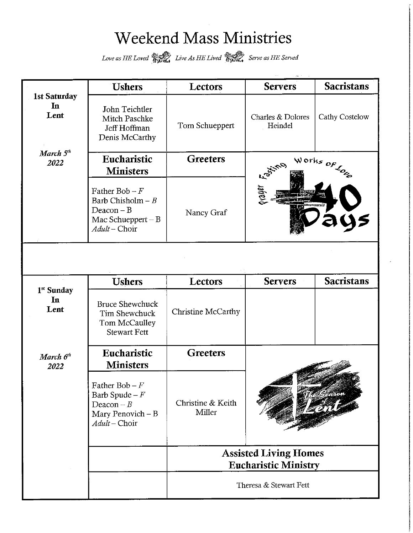## Weekend Mass Ministries

Love as HE Loved **Served** Live As HE Lived **Served** Serve as HE Served

|                                   | <b>Ushers</b>                                                                                   | Lectors                                                                               | <b>Servers</b>               | <b>Sacristans</b> |  |  |  |
|-----------------------------------|-------------------------------------------------------------------------------------------------|---------------------------------------------------------------------------------------|------------------------------|-------------------|--|--|--|
| <b>1st Saturday</b><br>In<br>Lent | John Teichtler<br>Mitch Paschke<br>Jeff Hoffman<br>Denis McCarthy                               | Tom Schueppert                                                                        | Charles & Dolores<br>Heindel | Cathy Costelow    |  |  |  |
| March 5 <sup>th</sup><br>2022     | Eucharistic<br><b>Ministers</b>                                                                 | <b>Greeters</b>                                                                       | Works $_{OF}$                |                   |  |  |  |
|                                   | Father Bob $-F$<br>Barb Chisholm $-B$<br>$Deacon - B$<br>Mac Schueppert $-B$<br>$Adult$ – Choir | Nancy Graf                                                                            | avayer F <sub>ask.</sub>     |                   |  |  |  |
|                                   | <b>Ushers</b>                                                                                   | Lectors                                                                               | <b>Servers</b>               | <b>Sacristans</b> |  |  |  |
| 1 <sup>st</sup> Sunday            |                                                                                                 |                                                                                       |                              |                   |  |  |  |
| In<br>Lent                        | <b>Bruce Shewchuck</b><br>Tim Shewchuck<br>Tom McCaulley<br><b>Stewart Fett</b>                 | Christine McCarthy                                                                    |                              |                   |  |  |  |
| March $6th$<br>2022               | Eucharistic<br><b>Ministers</b>                                                                 | <b>Greeters</b>                                                                       |                              |                   |  |  |  |
|                                   | Father Bob – $F$<br>Barb Spude $-F$<br>Deacon $-B$<br>Mary Penovich - B<br>Adult-Choir          | Christine & Keith<br>Miller                                                           |                              |                   |  |  |  |
|                                   |                                                                                                 | <b>Assisted Living Homes</b><br><b>Eucharistic Ministry</b><br>Theresa & Stewart Fett |                              |                   |  |  |  |
|                                   |                                                                                                 |                                                                                       |                              |                   |  |  |  |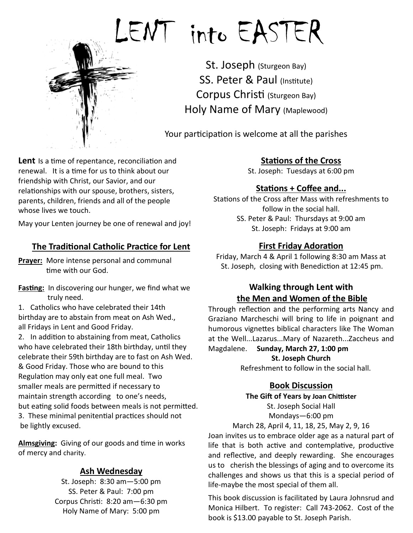

# LENT into EASTER

St. Joseph (Sturgeon Bay) SS. Peter & Paul (Institute) Corpus Christi (Sturgeon Bay) Holy Name of Mary (Maplewood)

Your participation is welcome at all the parishes

Lent Is a time of repentance, reconciliation and renewal. It is a time for us to think about our friendship with Christ, our Savior, and our relationships with our spouse, brothers, sisters, parents, children, friends and all of the people whose lives we touch.

May your Lenten journey be one of renewal and joy!

### **The Traditional Catholic Practice for Lent**

**Prayer:** More intense personal and communal time with our God.

**Fasting:** In discovering our hunger, we find what we truly need.

1. Catholics who have celebrated their 14th birthday are to abstain from meat on Ash Wed., all Fridays in Lent and Good Friday.

2. In addition to abstaining from meat, Catholics who have celebrated their 18th birthday, until they celebrate their 59th birthday are to fast on Ash Wed. & Good Friday. Those who are bound to this Regulation may only eat one full meal. Two smaller meals are permitted if necessary to maintain strength according to one's needs, but eating solid foods between meals is not permitted. 3. These minimal penitential practices should not be lightly excused.

Almsgiving: Giving of our goods and time in works of mercy and charity.

### **Ash Wednesday**

St. Joseph: 8:30 am—5:00 pm SS. Peter & Paul: 7:00 pm Corpus Christi: 8:20 am - 6:30 pm Holy Name of Mary: 5:00 pm

### **Stations of the Cross**

St. Joseph: Tuesdays at 6:00 pm

### **Stations + Coffee and...**

Stations of the Cross after Mass with refreshments to follow in the social hall. SS. Peter & Paul: Thursdays at 9:00 am St. Joseph: Fridays at 9:00 am

### **First Friday Adoration**

Friday, March 4 & April 1 following 8:30 am Mass at St. Joseph, closing with Benediction at 12:45 pm.

### **Walking through Lent with the Men and Women of the Bible**

Through reflection and the performing arts Nancy and Graziano Marcheschi will bring to life in poignant and humorous vignettes biblical characters like The Woman at the Well...Lazarus...Mary of Nazareth...Zaccheus and

Magdalene. **Sunday, March 27, 1:00 pm St. Joseph Church** 

Refreshment to follow in the social hall.

### **Book Discussion**

**The Gift of Years by Joan Chittister** St. Joseph Social Hall Mondays—6:00 pm

March 28, April 4, 11, 18, 25, May 2, 9, 16 Joan invites us to embrace older age as a natural part of life that is both active and contemplative, productive and reflective, and deeply rewarding. She encourages us to cherish the blessings of aging and to overcome its challenges and shows us that this is a special period of life-maybe the most special of them all.

This book discussion is facilitated by Laura Johnsrud and Monica Hilbert. To register: Call 743-2062. Cost of the book is \$13.00 payable to St. Joseph Parish.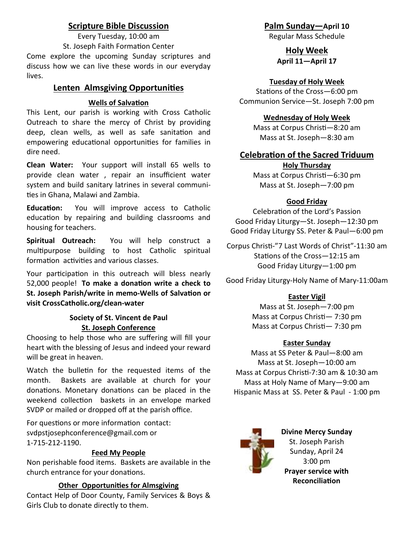### **Scripture Bible Discussion**

Every Tuesday, 10:00 am St. Joseph Faith Formation Center Come explore the upcoming Sunday scriptures and discuss how we can live these words in our everyday lives.

### **Lenten Almsgiving Opportunies**

### **Wells of Salvation**

This Lent, our parish is working with Cross Catholic Outreach to share the mercy of Christ by providing deep, clean wells, as well as safe sanitation and empowering educational opportunities for families in dire need.

**Clean Water:** Your support will install 65 wells to provide clean water , repair an insufficient water system and build sanitary latrines in several communi ties in Ghana, Malawi and Zambia.

**Education:** You will improve access to Catholic education by repairing and building classrooms and housing for teachers.

**Spiritual Outreach:** You will help construct a multipurpose building to host Catholic spiritual formation activities and various classes.

Your participation in this outreach will bless nearly 52,000 people! To make a donation write a check to St. Joseph Parish/write in memo-Wells of Salvation or **visit CrossCatholic.org/clean-water** 

### **Society of St. Vincent de Paul St. Joseph Conference**

Choosing to help those who are suffering will fill your heart with the blessing of Jesus and indeed your reward will be great in heaven.

Watch the bulletin for the requested items of the month. Baskets are available at church for your donations. Monetary donations can be placed in the weekend collection baskets in an envelope marked SVDP or mailed or dropped off at the parish office.

For questions or more information contact: svdpstjosephconference@gmail.com or 1-715-212-1190.

### **Feed My People**

Non perishable food items. Baskets are available in the church entrance for your donations.

### **Other Opportunies for Almsgiving**

Contact Help of Door County, Family Services & Boys & Girls Club to donate directly to them.

**Palm Sunday—April 10** 

Regular Mass Schedule

### **Holy Week April 11—April 17**

### **Tuesday of Holy Week**

Stations of the Cross-6:00 pm Communion Service—St. Joseph 7:00 pm

### **Wednesday of Holy Week**

Mass at Corpus Christi-8:20 am Mass at St. Joseph—8:30 am

### **Celebration of the Sacred Triduum**

### **Holy Thursday**

Mass at Corpus Christi-6:30 pm Mass at St. Joseph—7:00 pm

### **Good Friday**

Celebration of the Lord's Passion Good Friday Liturgy—St. Joseph—12:30 pm Good Friday Liturgy SS. Peter & Paul—6:00 pm

Corpus Christi-"7 Last Words of Christ"-11:30 am Stations of the Cross-12:15 am Good Friday Liturgy—1:00 pm

Good Friday Liturgy-Holy Name of Mary-11:00am

### **Easter Vigil**

Mass at St. Joseph—7:00 pm Mass at Corpus Christi- 7:30 pm Mass at Corpus Christi-7:30 pm

### **Easter Sunday**

Mass at SS Peter & Paul—8:00 am Mass at St. Joseph—10:00 am Mass at Corpus Christi-7:30 am & 10:30 am Mass at Holy Name of Mary—9:00 am Hispanic Mass at SS. Peter & Paul - 1:00 pm



**Divine Mercy Sunday**  St. Joseph Parish Sunday, April 24 3:00 pm **Prayer service with Reconciliation**